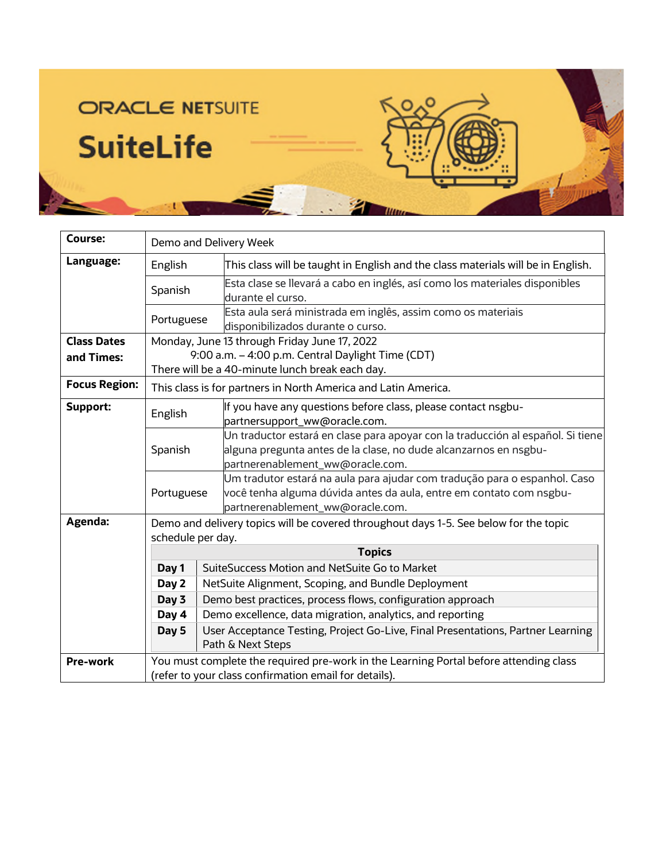## ROLO **ORACLE NETSUITE SuiteLife** 9b **Titun**

| Course:              | Demo and Delivery Week                                                                                                                         |                                                                                                                                                                                         |  |
|----------------------|------------------------------------------------------------------------------------------------------------------------------------------------|-----------------------------------------------------------------------------------------------------------------------------------------------------------------------------------------|--|
| Language:            | English                                                                                                                                        | This class will be taught in English and the class materials will be in English.                                                                                                        |  |
|                      | Spanish                                                                                                                                        | Esta clase se llevará a cabo en inglés, así como los materiales disponibles<br>durante el curso.                                                                                        |  |
|                      | Portuguese                                                                                                                                     | Esta aula será ministrada em inglês, assim como os materiais<br>disponibilizados durante o curso.                                                                                       |  |
| <b>Class Dates</b>   | Monday, June 13 through Friday June 17, 2022                                                                                                   |                                                                                                                                                                                         |  |
| and Times:           | 9:00 a.m. - 4:00 p.m. Central Daylight Time (CDT)                                                                                              |                                                                                                                                                                                         |  |
|                      | There will be a 40-minute lunch break each day.                                                                                                |                                                                                                                                                                                         |  |
| <b>Focus Region:</b> | This class is for partners in North America and Latin America.                                                                                 |                                                                                                                                                                                         |  |
| <b>Support:</b>      | English                                                                                                                                        | If you have any questions before class, please contact nsgbu-<br>partnersupport_ww@oracle.com.                                                                                          |  |
|                      | Spanish                                                                                                                                        | Un traductor estará en clase para apoyar con la traducción al español. Si tiene<br>alguna pregunta antes de la clase, no dude alcanzarnos en nsgbu-<br>partnerenablement_ww@oracle.com. |  |
|                      | Portuguese                                                                                                                                     | Um tradutor estará na aula para ajudar com tradução para o espanhol. Caso<br>você tenha alguma dúvida antes da aula, entre em contato com nsgbu-<br>partnerenablement_ww@oracle.com.    |  |
| Agenda:              | Demo and delivery topics will be covered throughout days 1-5. See below for the topic<br>schedule per day.                                     |                                                                                                                                                                                         |  |
|                      | <b>Topics</b>                                                                                                                                  |                                                                                                                                                                                         |  |
|                      | Day 1                                                                                                                                          | SuiteSuccess Motion and NetSuite Go to Market                                                                                                                                           |  |
|                      | Day 2                                                                                                                                          | NetSuite Alignment, Scoping, and Bundle Deployment                                                                                                                                      |  |
|                      | Day 3                                                                                                                                          | Demo best practices, process flows, configuration approach                                                                                                                              |  |
|                      | Day 4                                                                                                                                          | Demo excellence, data migration, analytics, and reporting                                                                                                                               |  |
|                      | Day 5                                                                                                                                          | User Acceptance Testing, Project Go-Live, Final Presentations, Partner Learning<br>Path & Next Steps                                                                                    |  |
| <b>Pre-work</b>      | You must complete the required pre-work in the Learning Portal before attending class<br>(refer to your class confirmation email for details). |                                                                                                                                                                                         |  |